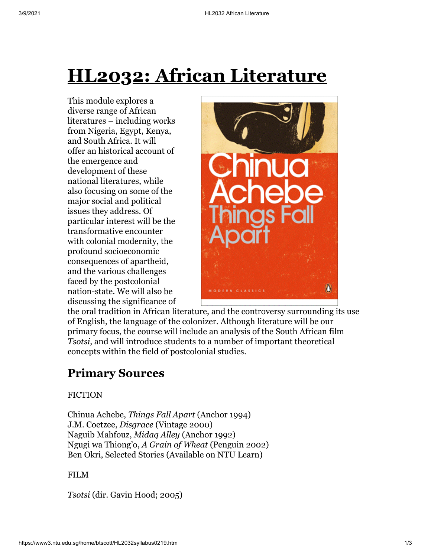# **HL2032: African Literature**

This module explores a diverse range of African literatures – including works from Nigeria, Egypt, Kenya, and South Africa. It will offer an historical account of the emergence and development of these national literatures, while also focusing on some of the major social and political issues they address. Of particular interest will be the transformative encounter with colonial modernity, the profound socioeconomic consequences of apartheid, and the various challenges faced by the postcolonial nation-state. We will also be discussing the significance of



the oral tradition in African literature, and the controversy surrounding its use of English, the language of the colonizer. Although literature will be our primary focus, the course will include an analysis of the South African film *Tsotsi*, and will introduce students to a number of important theoretical concepts within the field of postcolonial studies.

## **Primary Sources**

#### **FICTION**

Chinua Achebe, *Things Fall Apart* (Anchor 1994) J.M. Coetzee, *Disgrace* (Vintage 2000) Naguib Mahfouz, *Midaq Alley* (Anchor 1992) Ngugi wa Thiong'o, *A Grain of Wheat* (Penguin 2002) Ben Okri, Selected Stories (Available on NTU Learn)

#### FILM

*Tsotsi* (dir. Gavin Hood; 2005)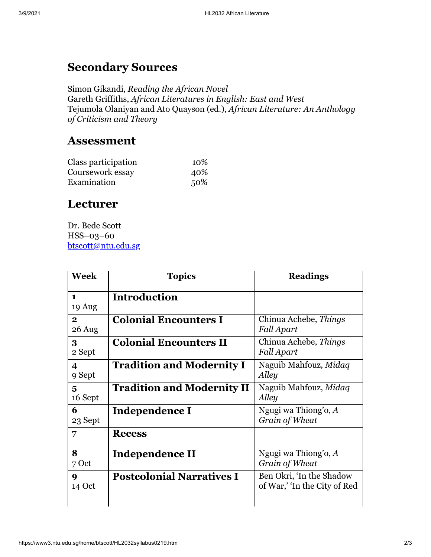# **Secondary Sources**

Simon Gikandi, *Reading the African Novel* Gareth Griffiths, *African Literatures in English: East and West* Tejumola Olaniyan and Ato Quayson (ed.), *African Literature: An Anthology of Criticism and Theory*

### **Assessment**

| Class participation | 10% |
|---------------------|-----|
| Coursework essay    | 40% |
| Examination         | 50% |

## **Lecturer**

Dr. Bede Scott HSS–03–60 [btscott@ntu.edu.sg](mailto:btscott@ntu.edu.sg)

| Week                              | <b>Topics</b>                     | <b>Readings</b>                                          |
|-----------------------------------|-----------------------------------|----------------------------------------------------------|
| $\mathbf{1}$<br>19 Aug            | <b>Introduction</b>               |                                                          |
| $\mathbf{2}$<br>26 Aug            | <b>Colonial Encounters I</b>      | Chinua Achebe, Things<br><b>Fall Apart</b>               |
| 3<br>2 Sept                       | <b>Colonial Encounters II</b>     | Chinua Achebe, Things<br>Fall Apart                      |
| $\overline{\mathbf{4}}$<br>9 Sept | <b>Tradition and Modernity I</b>  | Naguib Mahfouz, Midaq<br>Alley                           |
| 5<br>16 Sept                      | <b>Tradition and Modernity II</b> | Naguib Mahfouz, Midaq<br>Alley                           |
| 6<br>23 Sept                      | Independence I                    | Ngugi wa Thiong'o, $A$<br>Grain of Wheat                 |
| 7                                 | <b>Recess</b>                     |                                                          |
| 8<br>7 Oct                        | Independence II                   | Ngugi wa Thiong'o, A<br>Grain of Wheat                   |
| 9<br>14 Oct                       | <b>Postcolonial Narratives I</b>  | Ben Okri, 'In the Shadow<br>of War,' 'In the City of Red |